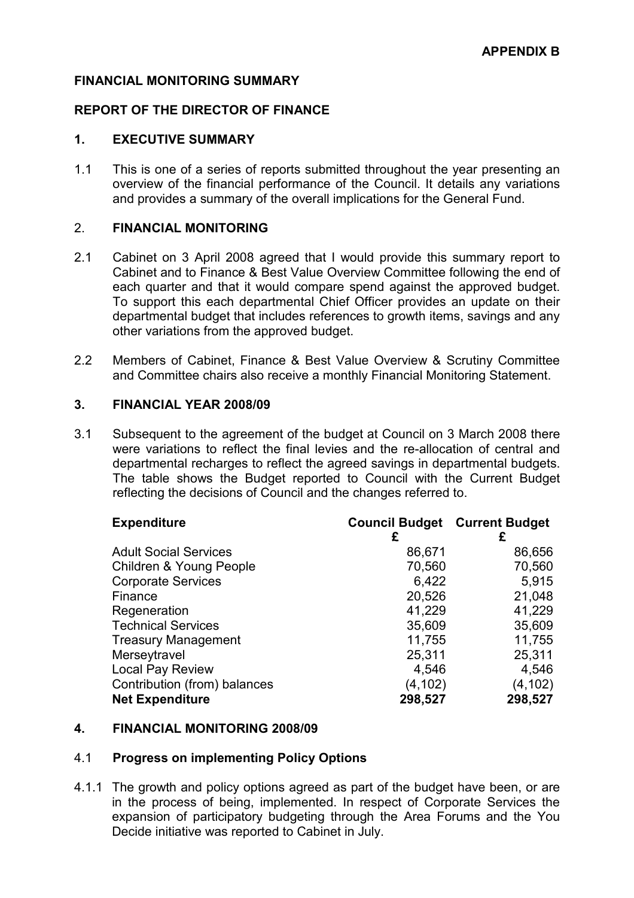#### FINANCIAL MONITORING SUMMARY

## REPORT OF THE DIRECTOR OF FINANCE

#### 1. EXECUTIVE SUMMARY

1.1 This is one of a series of reports submitted throughout the year presenting an overview of the financial performance of the Council. It details any variations and provides a summary of the overall implications for the General Fund.

## 2. FINANCIAL MONITORING

- 2.1 Cabinet on 3 April 2008 agreed that I would provide this summary report to Cabinet and to Finance & Best Value Overview Committee following the end of each quarter and that it would compare spend against the approved budget. To support this each departmental Chief Officer provides an update on their departmental budget that includes references to growth items, savings and any other variations from the approved budget.
- 2.2 Members of Cabinet, Finance & Best Value Overview & Scrutiny Committee and Committee chairs also receive a monthly Financial Monitoring Statement.

#### 3. FINANCIAL YEAR 2008/09

3.1 Subsequent to the agreement of the budget at Council on 3 March 2008 there were variations to reflect the final levies and the re-allocation of central and departmental recharges to reflect the agreed savings in departmental budgets. The table shows the Budget reported to Council with the Current Budget reflecting the decisions of Council and the changes referred to.

| <b>Expenditure</b>                 | <b>Council Budget Current Budget</b> |          |
|------------------------------------|--------------------------------------|----------|
|                                    | £                                    | £        |
| <b>Adult Social Services</b>       | 86,671                               | 86,656   |
| <b>Children &amp; Young People</b> | 70,560                               | 70,560   |
| <b>Corporate Services</b>          | 6,422                                | 5,915    |
| Finance                            | 20,526                               | 21,048   |
| Regeneration                       | 41,229                               | 41,229   |
| <b>Technical Services</b>          | 35,609                               | 35,609   |
| <b>Treasury Management</b>         | 11,755                               | 11,755   |
| Merseytravel                       | 25,311                               | 25,311   |
| Local Pay Review                   | 4,546                                | 4,546    |
| Contribution (from) balances       | (4, 102)                             | (4, 102) |
| <b>Net Expenditure</b>             | 298,527                              | 298,527  |

#### 4. FINANCIAL MONITORING 2008/09

#### 4.1 Progress on implementing Policy Options

4.1.1 The growth and policy options agreed as part of the budget have been, or are in the process of being, implemented. In respect of Corporate Services the expansion of participatory budgeting through the Area Forums and the You Decide initiative was reported to Cabinet in July.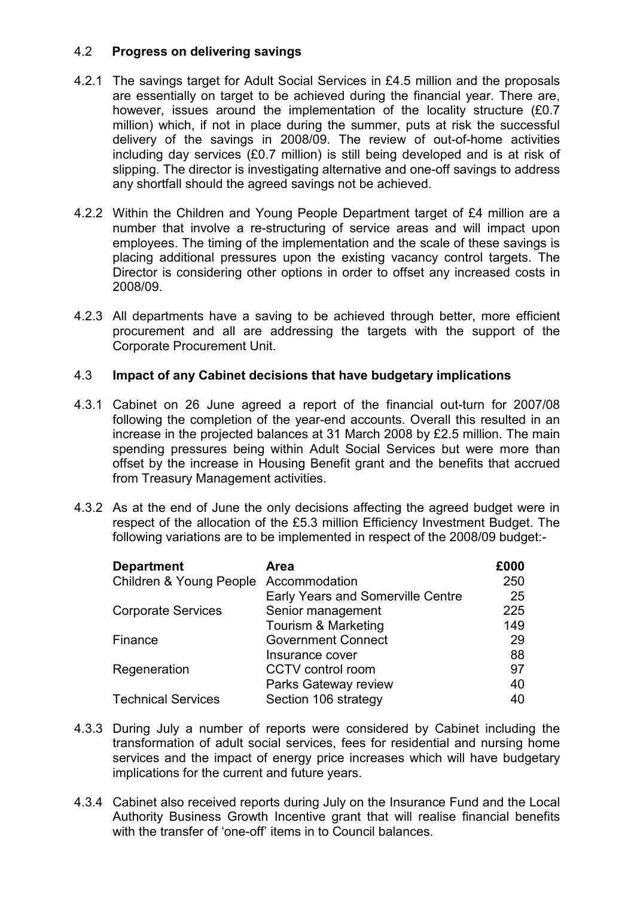# 4.2 Progress on delivering savings

- 4.2.1 The savings target for Adult Social Services in £4.5 million and the proposals are essentially on target to be achieved during the financial year. There are, however, issues around the implementation of the locality structure (£0.7 million) which, if not in place during the summer, puts at risk the successful delivery of the savings in 2008/09. The review of out-of-home activities including day services (£0.7 million) is still being developed and is at risk of slipping. The director is investigating alternative and one-off savings to address any shortfall should the agreed savings not be achieved.
- 4.2.2 Within the Children and Young People Department target of £4 million are a number that involve a re-structuring of service areas and will impact upon employees. The timing of the implementation and the scale of these savings is placing additional pressures upon the existing vacancy control targets. The Director is considering other options in order to offset any increased costs in 2008/09.
- 4.2.3 All departments have a saving to be achieved through better, more efficient procurement and all are addressing the targets with the support of the Corporate Procurement Unit.

# 4.3 Impact of any Cabinet decisions that have budgetary implications

- 4.3.1 Cabinet on 26 June agreed a report of the financial out-turn for 2007/08 following the completion of the year-end accounts. Overall this resulted in an increase in the projected balances at 31 March 2008 by £2.5 million. The main spending pressures being within Adult Social Services but were more than offset by the increase in Housing Benefit grant and the benefits that accrued from Treasury Management activities.
- 4.3.2 As at the end of June the only decisions affecting the agreed budget were in respect of the allocation of the £5.3 million Efficiency Investment Budget. The following variations are to be implemented in respect of the 2008/09 budget:-

| <b>Department</b>                     | Area                                     | £000 |
|---------------------------------------|------------------------------------------|------|
| Children & Young People Accommodation |                                          | 250  |
|                                       | <b>Early Years and Somerville Centre</b> | 25   |
| <b>Corporate Services</b>             | Senior management                        | 225  |
|                                       | Tourism & Marketing                      | 149  |
| Finance                               | <b>Government Connect</b>                | 29   |
|                                       | Insurance cover                          | 88   |
| Regeneration                          | CCTV control room                        | 97   |
|                                       | Parks Gateway review                     | 40   |
| <b>Technical Services</b>             | Section 106 strategy                     | 40   |

- 4.3.3 During July a number of reports were considered by Cabinet including the transformation of adult social services, fees for residential and nursing home services and the impact of energy price increases which will have budgetary implications for the current and future years.
- 4.3.4 Cabinet also received reports during July on the Insurance Fund and the Local Authority Business Growth Incentive grant that will realise financial benefits with the transfer of 'one-off' items in to Council balances.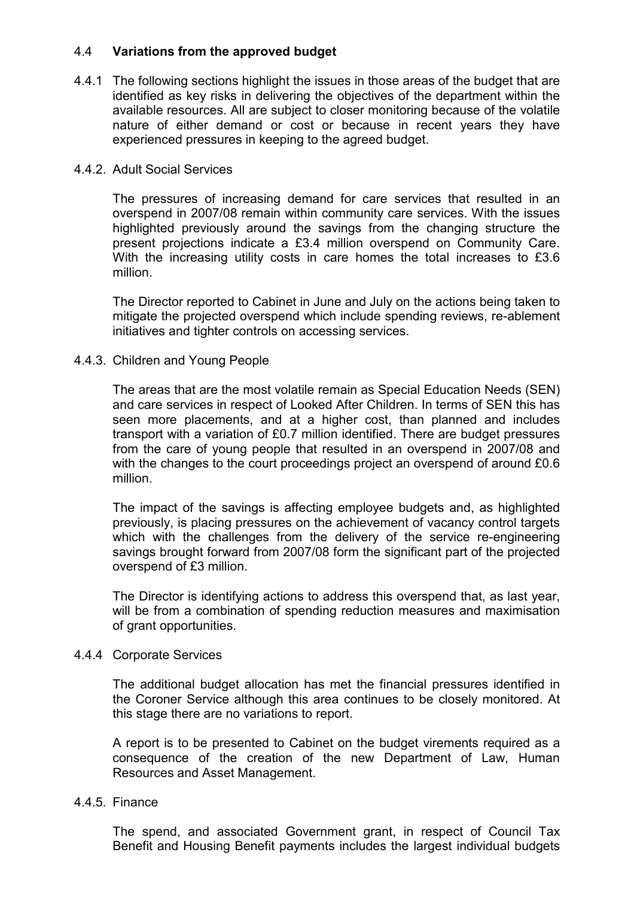# 4.4 Variations from the approved budget

4.4.1 The following sections highlight the issues in those areas of the budget that are identified as key risks in delivering the objectives of the department within the available resources. All are subject to closer monitoring because of the volatile nature of either demand or cost or because in recent years they have experienced pressures in keeping to the agreed budget.

## 4.4.2. Adult Social Services

The pressures of increasing demand for care services that resulted in an overspend in 2007/08 remain within community care services. With the issues highlighted previously around the savings from the changing structure the present projections indicate a £3.4 million overspend on Community Care. With the increasing utility costs in care homes the total increases to £3.6 million.

The Director reported to Cabinet in June and July on the actions being taken to mitigate the projected overspend which include spending reviews, re-ablement initiatives and tighter controls on accessing services.

# 4.4.3. Children and Young People

The areas that are the most volatile remain as Special Education Needs (SEN) and care services in respect of Looked After Children. In terms of SEN this has seen more placements, and at a higher cost, than planned and includes transport with a variation of £0.7 million identified. There are budget pressures from the care of young people that resulted in an overspend in 2007/08 and with the changes to the court proceedings project an overspend of around £0.6 million.

The impact of the savings is affecting employee budgets and, as highlighted previously, is placing pressures on the achievement of vacancy control targets which with the challenges from the delivery of the service re-engineering savings brought forward from 2007/08 form the significant part of the projected overspend of £3 million.

The Director is identifying actions to address this overspend that, as last year, will be from a combination of spending reduction measures and maximisation of grant opportunities.

#### 4.4.4 Corporate Services

The additional budget allocation has met the financial pressures identified in the Coroner Service although this area continues to be closely monitored. At this stage there are no variations to report.

A report is to be presented to Cabinet on the budget virements required as a consequence of the creation of the new Department of Law, Human Resources and Asset Management.

## 4.4.5. Finance

The spend, and associated Government grant, in respect of Council Tax Benefit and Housing Benefit payments includes the largest individual budgets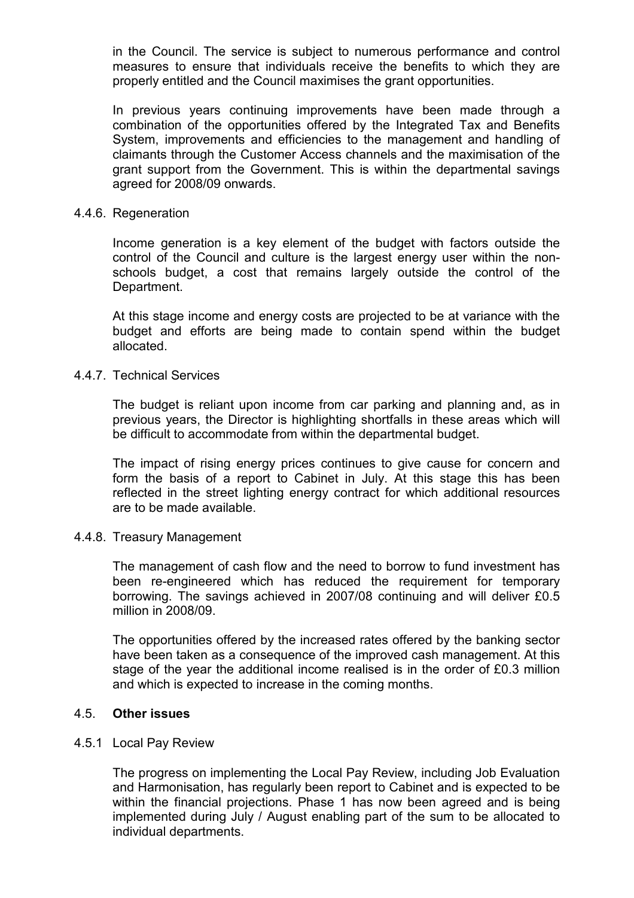in the Council. The service is subject to numerous performance and control measures to ensure that individuals receive the benefits to which they are properly entitled and the Council maximises the grant opportunities.

In previous years continuing improvements have been made through a combination of the opportunities offered by the Integrated Tax and Benefits System, improvements and efficiencies to the management and handling of claimants through the Customer Access channels and the maximisation of the grant support from the Government. This is within the departmental savings agreed for 2008/09 onwards.

#### 4.4.6. Regeneration

Income generation is a key element of the budget with factors outside the control of the Council and culture is the largest energy user within the nonschools budget, a cost that remains largely outside the control of the Department.

At this stage income and energy costs are projected to be at variance with the budget and efforts are being made to contain spend within the budget allocated.

#### 4.4.7. Technical Services

The budget is reliant upon income from car parking and planning and, as in previous years, the Director is highlighting shortfalls in these areas which will be difficult to accommodate from within the departmental budget.

The impact of rising energy prices continues to give cause for concern and form the basis of a report to Cabinet in July. At this stage this has been reflected in the street lighting energy contract for which additional resources are to be made available.

# 4.4.8. Treasury Management

The management of cash flow and the need to borrow to fund investment has been re-engineered which has reduced the requirement for temporary borrowing. The savings achieved in 2007/08 continuing and will deliver £0.5 million in 2008/09.

The opportunities offered by the increased rates offered by the banking sector have been taken as a consequence of the improved cash management. At this stage of the year the additional income realised is in the order of £0.3 million and which is expected to increase in the coming months.

#### 4.5. Other issues

#### 4.5.1 Local Pay Review

The progress on implementing the Local Pay Review, including Job Evaluation and Harmonisation, has regularly been report to Cabinet and is expected to be within the financial projections. Phase 1 has now been agreed and is being implemented during July / August enabling part of the sum to be allocated to individual departments.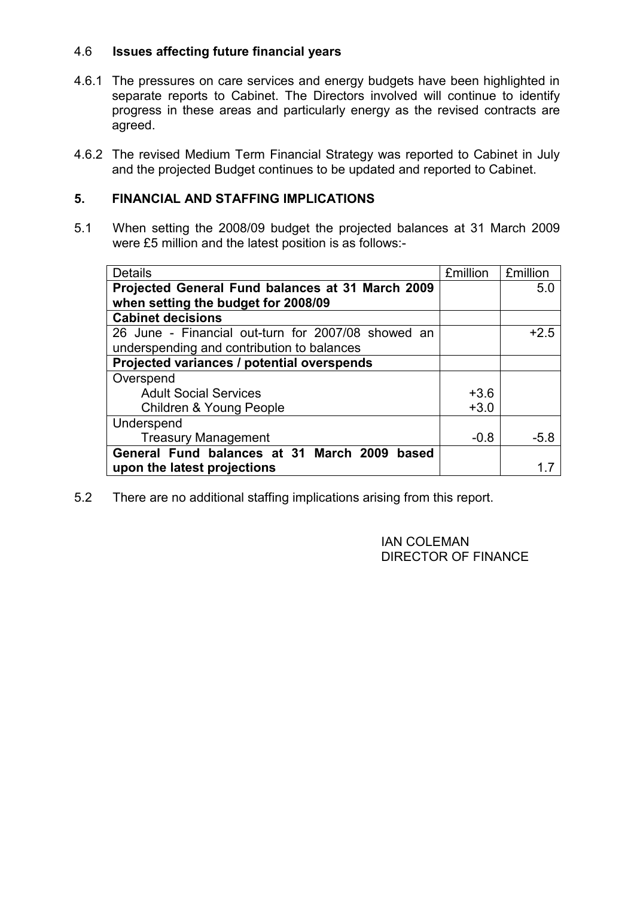# 4.6 Issues affecting future financial years

- 4.6.1 The pressures on care services and energy budgets have been highlighted in separate reports to Cabinet. The Directors involved will continue to identify progress in these areas and particularly energy as the revised contracts are agreed.
- 4.6.2 The revised Medium Term Financial Strategy was reported to Cabinet in July and the projected Budget continues to be updated and reported to Cabinet.

# 5. FINANCIAL AND STAFFING IMPLICATIONS

5.1 When setting the 2008/09 budget the projected balances at 31 March 2009 were £5 million and the latest position is as follows:-

| <b>Details</b>                                     | <b>£million</b> | <b>£million</b> |
|----------------------------------------------------|-----------------|-----------------|
| Projected General Fund balances at 31 March 2009   |                 | 5.0             |
| when setting the budget for 2008/09                |                 |                 |
| <b>Cabinet decisions</b>                           |                 |                 |
| 26 June - Financial out-turn for 2007/08 showed an |                 | $+2.5$          |
| underspending and contribution to balances         |                 |                 |
| Projected variances / potential overspends         |                 |                 |
| Overspend                                          |                 |                 |
| <b>Adult Social Services</b>                       | $+3.6$          |                 |
| <b>Children &amp; Young People</b>                 | $+3.0$          |                 |
| Underspend                                         |                 |                 |
| <b>Treasury Management</b>                         | $-0.8$          | $-5.8$          |
| General Fund balances at 31 March 2009<br>based    |                 |                 |
| upon the latest projections                        |                 |                 |

5.2 There are no additional staffing implications arising from this report.

 IAN COLEMAN DIRECTOR OF FINANCE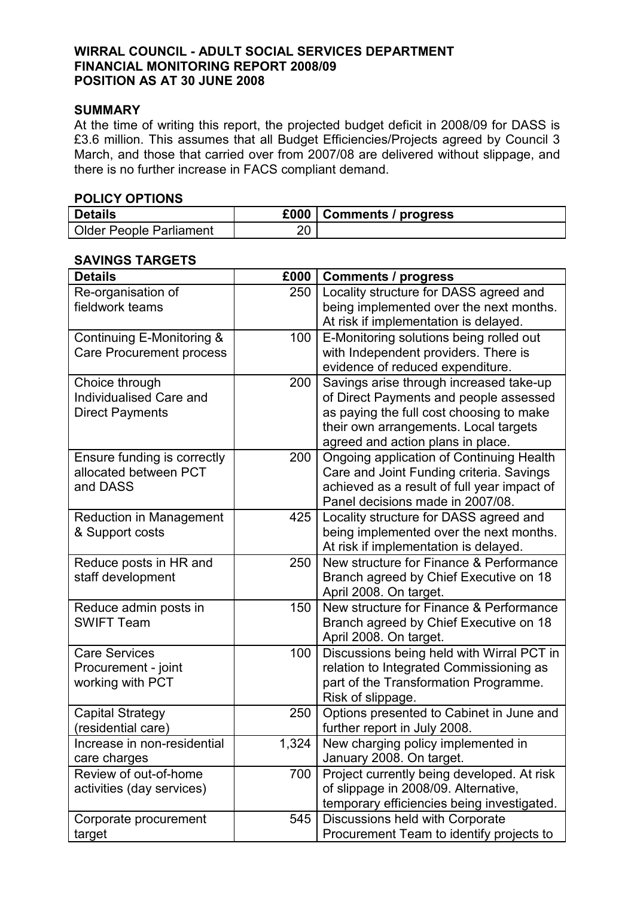## WIRRAL COUNCIL - ADULT SOCIAL SERVICES DEPARTMENT FINANCIAL MONITORING REPORT 2008/09 POSITION AS AT 30 JUNE 2008

## SUMMARY

At the time of writing this report, the projected budget deficit in 2008/09 for DASS is £3.6 million. This assumes that all Budget Efficiencies/Projects agreed by Council 3 March, and those that carried over from 2007/08 are delivered without slippage, and there is no further increase in FACS compliant demand.

## POLICY OPTIONS

| <b>Details</b>                 |    | £000   Comments / progress |
|--------------------------------|----|----------------------------|
| <b>Older People Parliament</b> | 20 |                            |

#### SAVINGS TARGETS

| <b>Details</b>                                                      | £000  | <b>Comments / progress</b>                                                                                                                                                                                  |
|---------------------------------------------------------------------|-------|-------------------------------------------------------------------------------------------------------------------------------------------------------------------------------------------------------------|
| Re-organisation of<br>fieldwork teams                               | 250   | Locality structure for DASS agreed and<br>being implemented over the next months.<br>At risk if implementation is delayed.                                                                                  |
| Continuing E-Monitoring &<br><b>Care Procurement process</b>        | 100   | E-Monitoring solutions being rolled out<br>with Independent providers. There is<br>evidence of reduced expenditure.                                                                                         |
| Choice through<br>Individualised Care and<br><b>Direct Payments</b> | 200   | Savings arise through increased take-up<br>of Direct Payments and people assessed<br>as paying the full cost choosing to make<br>their own arrangements. Local targets<br>agreed and action plans in place. |
| Ensure funding is correctly<br>allocated between PCT<br>and DASS    | 200   | <b>Ongoing application of Continuing Health</b><br>Care and Joint Funding criteria. Savings<br>achieved as a result of full year impact of<br>Panel decisions made in 2007/08.                              |
| Reduction in Management<br>& Support costs                          | 425   | Locality structure for DASS agreed and<br>being implemented over the next months.<br>At risk if implementation is delayed.                                                                                  |
| Reduce posts in HR and<br>staff development                         | 250   | New structure for Finance & Performance<br>Branch agreed by Chief Executive on 18<br>April 2008. On target.                                                                                                 |
| Reduce admin posts in<br><b>SWIFT Team</b>                          | 150   | New structure for Finance & Performance<br>Branch agreed by Chief Executive on 18<br>April 2008. On target.                                                                                                 |
| <b>Care Services</b><br>Procurement - joint<br>working with PCT     | 100   | Discussions being held with Wirral PCT in<br>relation to Integrated Commissioning as<br>part of the Transformation Programme.<br>Risk of slippage.                                                          |
| <b>Capital Strategy</b><br>(residential care)                       | 250   | Options presented to Cabinet in June and<br>further report in July 2008.                                                                                                                                    |
| Increase in non-residential<br>care charges                         | 1,324 | New charging policy implemented in<br>January 2008. On target.                                                                                                                                              |
| Review of out-of-home<br>activities (day services)                  | 700   | Project currently being developed. At risk<br>of slippage in 2008/09. Alternative,<br>temporary efficiencies being investigated.                                                                            |
| Corporate procurement<br>target                                     | 545   | Discussions held with Corporate<br>Procurement Team to identify projects to                                                                                                                                 |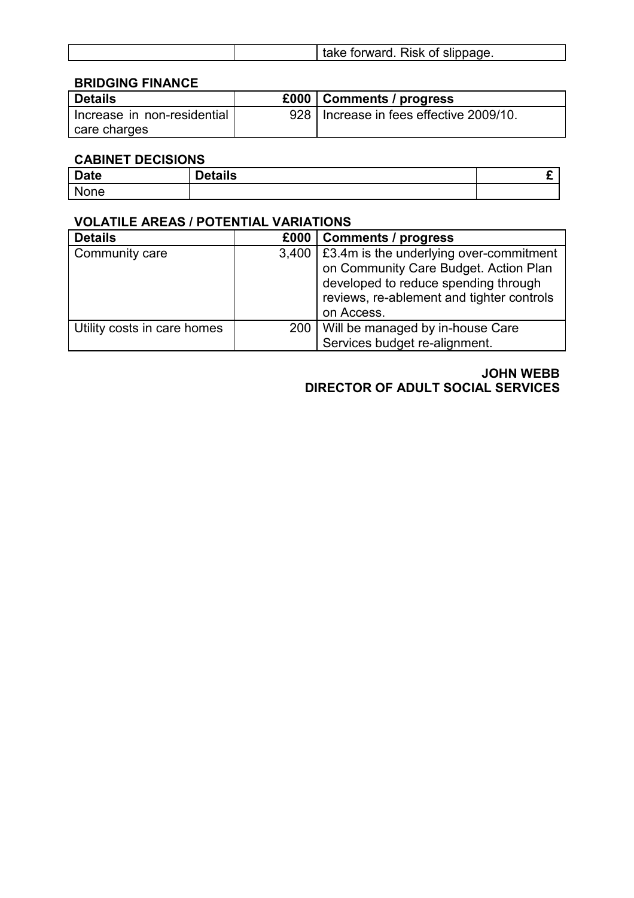|  |  |  | of orward. Risk of slippage.<br>take<br>. |
|--|--|--|-------------------------------------------|
|--|--|--|-------------------------------------------|

# BRIDGING FINANCE

| <b>Details</b>                  | £000   Comments / progress                |
|---------------------------------|-------------------------------------------|
| l Increase in non-residential l | 928   Increase in fees effective 2009/10. |
| care charges                    |                                           |

# CABINET DECISIONS

| <b>Date</b> | $R = 1.11$<br>בומווא | . . |
|-------------|----------------------|-----|
| N<br>one    |                      |     |

# VOLATILE AREAS / POTENTIAL VARIATIONS

| <b>Details</b>              | £000 | <b>Comments / progress</b>                                                                                                                                                                  |
|-----------------------------|------|---------------------------------------------------------------------------------------------------------------------------------------------------------------------------------------------|
| Community care              |      | 3,400   £3.4m is the underlying over-commitment<br>on Community Care Budget. Action Plan<br>developed to reduce spending through<br>reviews, re-ablement and tighter controls<br>on Access. |
| Utility costs in care homes |      | 200   Will be managed by in-house Care<br>Services budget re-alignment.                                                                                                                     |

JOHN WEBB DIRECTOR OF ADULT SOCIAL SERVICES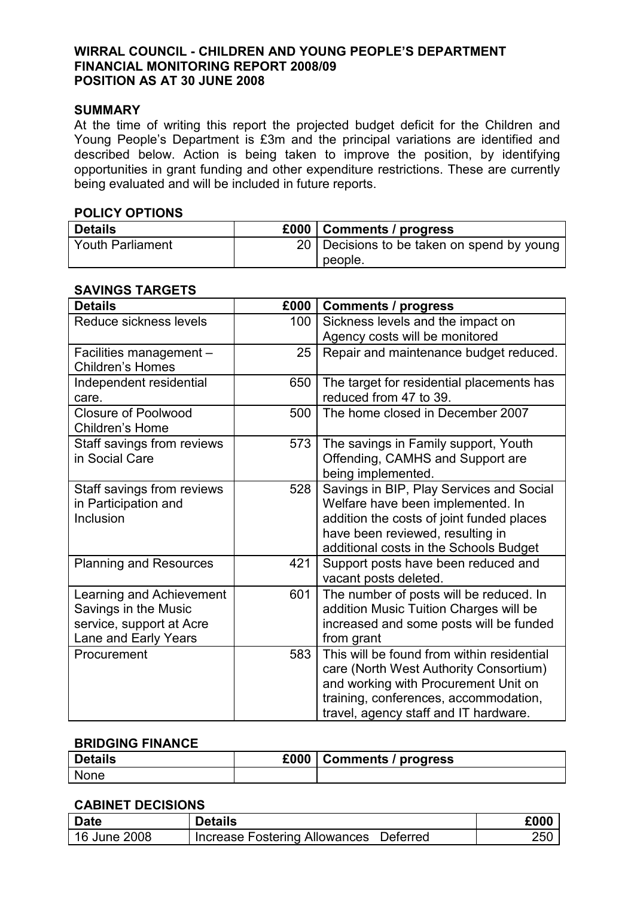# WIRRAL COUNCIL - CHILDREN AND YOUNG PEOPLE'S DEPARTMENT FINANCIAL MONITORING REPORT 2008/09 POSITION AS AT 30 JUNE 2008

## SUMMARY

At the time of writing this report the projected budget deficit for the Children and Young People's Department is £3m and the principal variations are identified and described below. Action is being taken to improve the position, by identifying opportunities in grant funding and other expenditure restrictions. These are currently being evaluated and will be included in future reports.

#### POLICY OPTIONS

| <b>Details</b>          | £000   Comments / progress                 |
|-------------------------|--------------------------------------------|
| <b>Youth Parliament</b> | 20 Decisions to be taken on spend by young |
|                         | people.                                    |

# SAVINGS TARGETS

| <b>Details</b>                                                                                       | £000 | <b>Comments / progress</b>                                                                                                                                                                                     |
|------------------------------------------------------------------------------------------------------|------|----------------------------------------------------------------------------------------------------------------------------------------------------------------------------------------------------------------|
| Reduce sickness levels                                                                               | 100  | Sickness levels and the impact on<br>Agency costs will be monitored                                                                                                                                            |
| Facilities management -<br><b>Children's Homes</b>                                                   | 25   | Repair and maintenance budget reduced.                                                                                                                                                                         |
| Independent residential<br>care.                                                                     | 650  | The target for residential placements has<br>reduced from 47 to 39.                                                                                                                                            |
| <b>Closure of Poolwood</b><br>Children's Home                                                        | 500  | The home closed in December 2007                                                                                                                                                                               |
| Staff savings from reviews<br>in Social Care                                                         | 573  | The savings in Family support, Youth<br>Offending, CAMHS and Support are<br>being implemented.                                                                                                                 |
| Staff savings from reviews<br>in Participation and<br>Inclusion                                      | 528  | Savings in BIP, Play Services and Social<br>Welfare have been implemented. In<br>addition the costs of joint funded places<br>have been reviewed, resulting in<br>additional costs in the Schools Budget       |
| <b>Planning and Resources</b>                                                                        | 421  | Support posts have been reduced and<br>vacant posts deleted.                                                                                                                                                   |
| Learning and Achievement<br>Savings in the Music<br>service, support at Acre<br>Lane and Early Years | 601  | The number of posts will be reduced. In<br>addition Music Tuition Charges will be<br>increased and some posts will be funded<br>from grant                                                                     |
| Procurement                                                                                          | 583  | This will be found from within residential<br>care (North West Authority Consortium)<br>and working with Procurement Unit on<br>training, conferences, accommodation,<br>travel, agency staff and IT hardware. |

# BRIDGING FINANCE

| <b>Details</b> | £000 | <b>Comments / progress</b> |
|----------------|------|----------------------------|
| <b>None</b>    |      |                            |

### CABINET DECISIONS

| <b>Date</b>  | <b>Details</b>                                   | £000 |
|--------------|--------------------------------------------------|------|
| 16 June 2008 | <b>Increase Fostering Allowances</b><br>Deferred | 250  |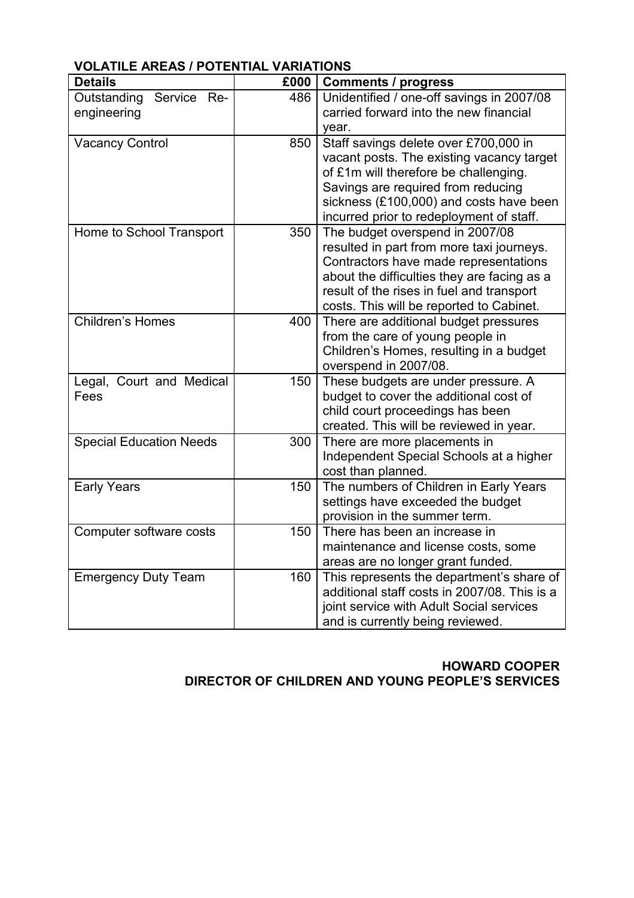| <b>Details</b>                               | £000 | <b>Comments / progress</b>                                                                                                                                                                                                                                    |
|----------------------------------------------|------|---------------------------------------------------------------------------------------------------------------------------------------------------------------------------------------------------------------------------------------------------------------|
| Outstanding<br>Service<br>Re-<br>engineering | 486  | Unidentified / one-off savings in 2007/08<br>carried forward into the new financial<br>year.                                                                                                                                                                  |
| <b>Vacancy Control</b>                       | 850  | Staff savings delete over £700,000 in<br>vacant posts. The existing vacancy target<br>of £1m will therefore be challenging.<br>Savings are required from reducing<br>sickness (£100,000) and costs have been<br>incurred prior to redeployment of staff.      |
| Home to School Transport                     | 350  | The budget overspend in 2007/08<br>resulted in part from more taxi journeys.<br>Contractors have made representations<br>about the difficulties they are facing as a<br>result of the rises in fuel and transport<br>costs. This will be reported to Cabinet. |
| <b>Children's Homes</b>                      | 400  | There are additional budget pressures<br>from the care of young people in<br>Children's Homes, resulting in a budget<br>overspend in 2007/08.                                                                                                                 |
| Legal, Court and Medical<br>Fees             | 150  | These budgets are under pressure. A<br>budget to cover the additional cost of<br>child court proceedings has been<br>created. This will be reviewed in year.                                                                                                  |
| <b>Special Education Needs</b>               | 300  | There are more placements in<br>Independent Special Schools at a higher<br>cost than planned.                                                                                                                                                                 |
| <b>Early Years</b>                           | 150  | The numbers of Children in Early Years<br>settings have exceeded the budget<br>provision in the summer term.                                                                                                                                                  |
| Computer software costs                      | 150  | There has been an increase in<br>maintenance and license costs, some<br>areas are no longer grant funded.                                                                                                                                                     |
| <b>Emergency Duty Team</b>                   | 160  | This represents the department's share of<br>additional staff costs in 2007/08. This is a<br>joint service with Adult Social services<br>and is currently being reviewed.                                                                                     |

# VOLATILE AREAS / POTENTIAL VARIATIONS

# HOWARD COOPER DIRECTOR OF CHILDREN AND YOUNG PEOPLE'S SERVICES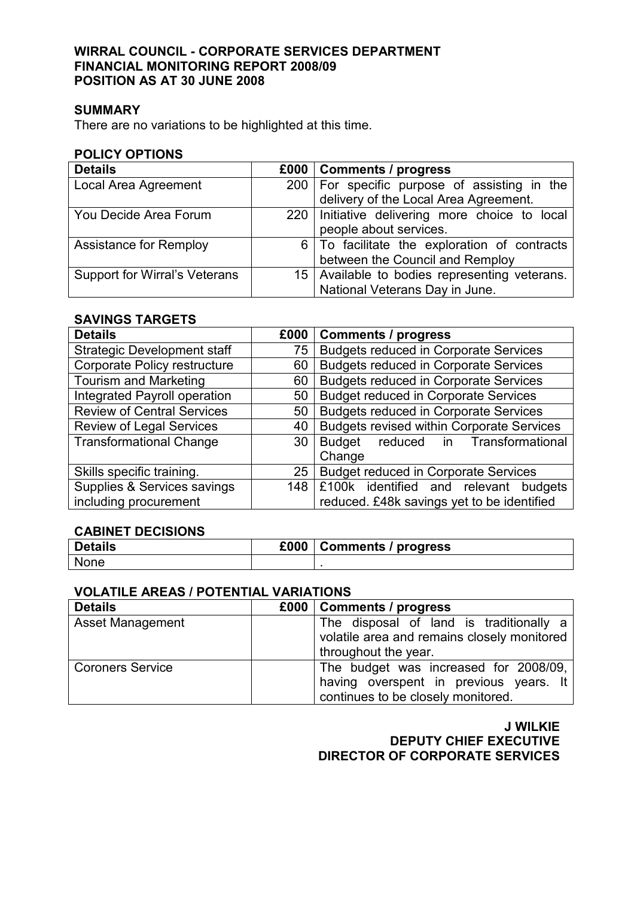## WIRRAL COUNCIL - CORPORATE SERVICES DEPARTMENT FINANCIAL MONITORING REPORT 2008/09 POSITION AS AT 30 JUNE 2008

## SUMMARY

There are no variations to be highlighted at this time.

#### POLICY OPTIONS

| <b>Details</b>                       | £000   Comments / progress                       |
|--------------------------------------|--------------------------------------------------|
| Local Area Agreement                 | 200   For specific purpose of assisting in the   |
|                                      | delivery of the Local Area Agreement.            |
| You Decide Area Forum                | 220   Initiative delivering more choice to local |
|                                      | people about services.                           |
| <b>Assistance for Remploy</b>        | 6   To facilitate the exploration of contracts   |
|                                      | between the Council and Remploy                  |
| <b>Support for Wirral's Veterans</b> | 15   Available to bodies representing veterans.  |
|                                      | National Veterans Day in June.                   |

# SAVINGS TARGETS

| <b>Details</b>                     | £000 | <b>Comments / progress</b>                       |
|------------------------------------|------|--------------------------------------------------|
| <b>Strategic Development staff</b> | 75   | <b>Budgets reduced in Corporate Services</b>     |
| Corporate Policy restructure       | 60   | <b>Budgets reduced in Corporate Services</b>     |
| <b>Tourism and Marketing</b>       | 60   | <b>Budgets reduced in Corporate Services</b>     |
| Integrated Payroll operation       | 50   | <b>Budget reduced in Corporate Services</b>      |
| <b>Review of Central Services</b>  | 50   | <b>Budgets reduced in Corporate Services</b>     |
| <b>Review of Legal Services</b>    | 40   | <b>Budgets revised within Corporate Services</b> |
| <b>Transformational Change</b>     | 30   | reduced in Transformational<br>Budget            |
|                                    |      | Change                                           |
| Skills specific training.          | 25   | <b>Budget reduced in Corporate Services</b>      |
| Supplies & Services savings        | 148  | £100k identified and relevant budgets            |
| including procurement              |      | reduced. £48k savings yet to be identified       |

#### CABINET DECISIONS

| <b>Details</b> | £000 | <b>Comments / progress</b> |
|----------------|------|----------------------------|
| <b>None</b>    |      |                            |

# VOLATILE AREAS / POTENTIAL VARIATIONS

| <b>Details</b>          | £000   Comments / progress                                                                                            |
|-------------------------|-----------------------------------------------------------------------------------------------------------------------|
| <b>Asset Management</b> | The disposal of land is traditionally a<br>volatile area and remains closely monitored<br>throughout the year.        |
| <b>Coroners Service</b> | The budget was increased for 2008/09,<br>having overspent in previous years. It<br>continues to be closely monitored. |

J WILKIE DEPUTY CHIEF EXECUTIVE DIRECTOR OF CORPORATE SERVICES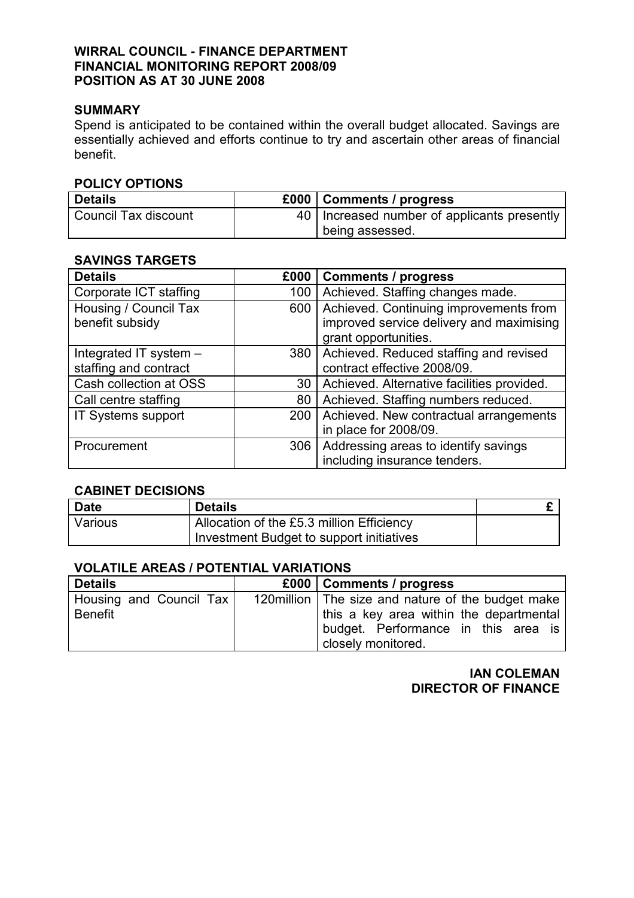# WIRRAL COUNCIL - FINANCE DEPARTMENT FINANCIAL MONITORING REPORT 2008/09 POSITION AS AT 30 JUNE 2008

#### SUMMARY

Spend is anticipated to be contained within the overall budget allocated. Savings are essentially achieved and efforts continue to try and ascertain other areas of financial benefit.

## POLICY OPTIONS

| <b>Details</b>       | £000   Comments / progress                    |
|----------------------|-----------------------------------------------|
| Council Tax discount | 40   Increased number of applicants presently |
|                      | being assessed.                               |

## SAVINGS TARGETS

| <b>Details</b>         | £000 | <b>Comments / progress</b>                 |
|------------------------|------|--------------------------------------------|
| Corporate ICT staffing | 100  | Achieved. Staffing changes made.           |
| Housing / Council Tax  | 600  | Achieved. Continuing improvements from     |
| benefit subsidy        |      | improved service delivery and maximising   |
|                        |      | grant opportunities.                       |
| Integrated IT system - | 380  | Achieved. Reduced staffing and revised     |
| staffing and contract  |      | contract effective 2008/09.                |
| Cash collection at OSS | 30   | Achieved. Alternative facilities provided. |
| Call centre staffing   | 80   | Achieved. Staffing numbers reduced.        |
| IT Systems support     | 200  | Achieved. New contractual arrangements     |
|                        |      | in place for 2008/09.                      |
| Procurement            | 306  | Addressing areas to identify savings       |
|                        |      | including insurance tenders.               |

# CABINET DECISIONS

| <b>Date</b> | <b>Details</b>                            |  |
|-------------|-------------------------------------------|--|
| Various     | Allocation of the £5.3 million Efficiency |  |
|             | Investment Budget to support initiatives  |  |

# VOLATILE AREAS / POTENTIAL VARIATIONS

| <b>Details</b>          | £000   Comments / progress                           |
|-------------------------|------------------------------------------------------|
| Housing and Council Tax | 120 million   The size and nature of the budget make |
| <b>Benefit</b>          | this a key area within the departmental              |
|                         | budget. Performance in this area is                  |
|                         | closely monitored.                                   |

# IAN COLEMAN DIRECTOR OF FINANCE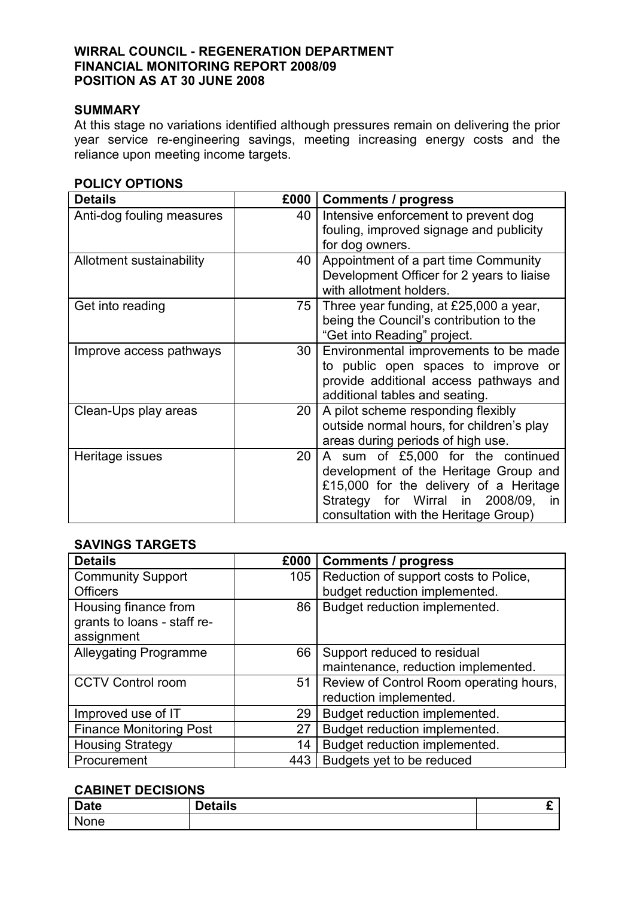## WIRRAL COUNCIL - REGENERATION DEPARTMENT FINANCIAL MONITORING REPORT 2008/09 POSITION AS AT 30 JUNE 2008

# SUMMARY

At this stage no variations identified although pressures remain on delivering the prior year service re-engineering savings, meeting increasing energy costs and the reliance upon meeting income targets.

| <b>Details</b>            | £000            | <b>Comments / progress</b>                                                                                                                                                                          |
|---------------------------|-----------------|-----------------------------------------------------------------------------------------------------------------------------------------------------------------------------------------------------|
| Anti-dog fouling measures | 40              | Intensive enforcement to prevent dog<br>fouling, improved signage and publicity<br>for dog owners.                                                                                                  |
| Allotment sustainability  | 40              | Appointment of a part time Community<br>Development Officer for 2 years to liaise<br>with allotment holders.                                                                                        |
| Get into reading          | 75 <sub>1</sub> | Three year funding, at £25,000 a year,<br>being the Council's contribution to the<br>"Get into Reading" project.                                                                                    |
| Improve access pathways   | 30 I            | Environmental improvements to be made<br>to public open spaces to improve or<br>provide additional access pathways and<br>additional tables and seating.                                            |
| Clean-Ups play areas      | 20              | A pilot scheme responding flexibly<br>outside normal hours, for children's play<br>areas during periods of high use.                                                                                |
| Heritage issues           | 20              | A sum of £5,000 for the continued<br>development of the Heritage Group and<br>£15,000 for the delivery of a Heritage<br>Strategy for Wirral in 2008/09, in<br>consultation with the Heritage Group) |

# SAVINGS TARGETS

| <b>Details</b>                                                    | £000 | <b>Comments / progress</b>              |
|-------------------------------------------------------------------|------|-----------------------------------------|
| <b>Community Support</b>                                          | 105  | Reduction of support costs to Police,   |
| <b>Officers</b>                                                   |      | budget reduction implemented.           |
| Housing finance from<br>grants to loans - staff re-<br>assignment | 86   | Budget reduction implemented.           |
| <b>Alleygating Programme</b>                                      | 66   | Support reduced to residual             |
|                                                                   |      | maintenance, reduction implemented.     |
| <b>CCTV Control room</b>                                          | 51   | Review of Control Room operating hours, |
|                                                                   |      | reduction implemented.                  |
| Improved use of IT                                                | 29   | Budget reduction implemented.           |
| <b>Finance Monitoring Post</b>                                    | 27   | Budget reduction implemented.           |
| <b>Housing Strategy</b>                                           | 14   | Budget reduction implemented.           |
| Procurement                                                       | 443  | Budgets yet to be reduced               |

# CABINET DECISIONS

| <b>Date</b> | etails | - |
|-------------|--------|---|
| None        |        |   |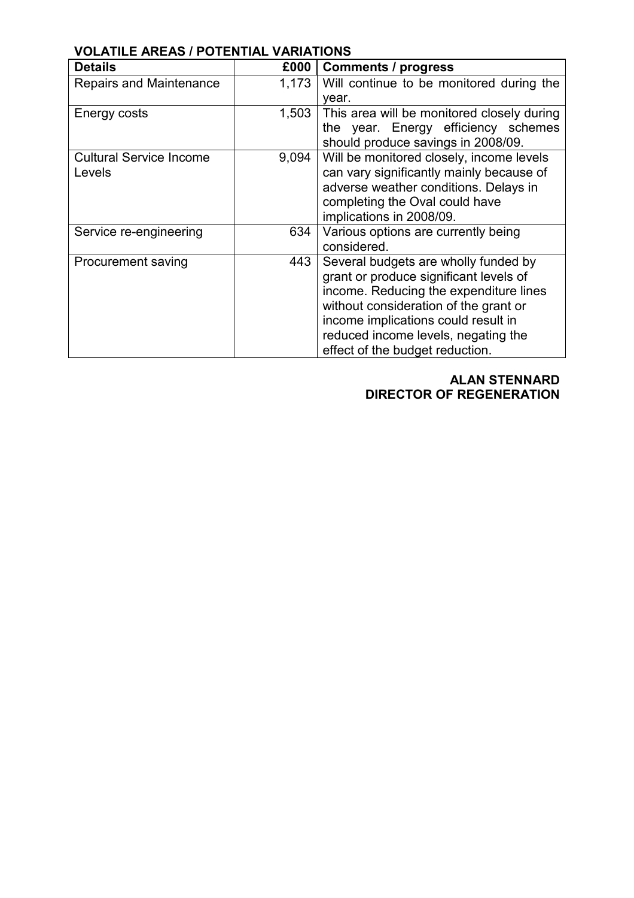| <b>Details</b>                 | £000  | <b>Comments / progress</b>                 |
|--------------------------------|-------|--------------------------------------------|
| Repairs and Maintenance        | 1,173 | Will continue to be monitored during the   |
|                                |       | year.                                      |
| Energy costs                   | 1,503 | This area will be monitored closely during |
|                                |       | the year. Energy efficiency schemes        |
|                                |       | should produce savings in 2008/09.         |
| <b>Cultural Service Income</b> | 9,094 | Will be monitored closely, income levels   |
| Levels                         |       | can vary significantly mainly because of   |
|                                |       | adverse weather conditions. Delays in      |
|                                |       | completing the Oval could have             |
|                                |       | implications in 2008/09.                   |
| Service re-engineering         | 634   | Various options are currently being        |
|                                |       | considered.                                |
| <b>Procurement saving</b>      | 443   | Several budgets are wholly funded by       |
|                                |       | grant or produce significant levels of     |
|                                |       | income. Reducing the expenditure lines     |
|                                |       | without consideration of the grant or      |
|                                |       | income implications could result in        |
|                                |       | reduced income levels, negating the        |
|                                |       | effect of the budget reduction.            |

# VOLATILE AREAS / POTENTIAL VARIATIONS

ALAN STENNARD DIRECTOR OF REGENERATION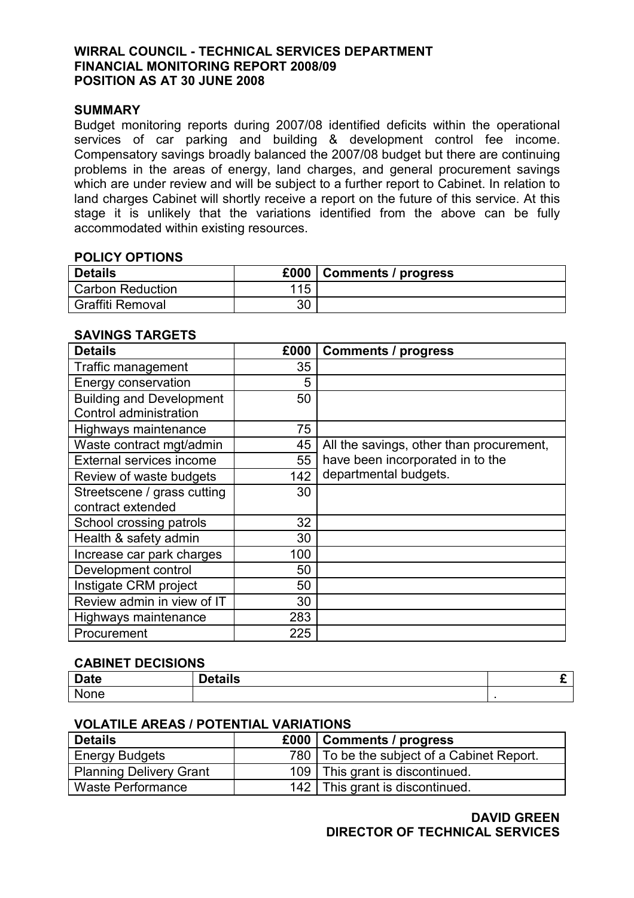## WIRRAL COUNCIL - TECHNICAL SERVICES DEPARTMENT FINANCIAL MONITORING REPORT 2008/09 POSITION AS AT 30 JUNE 2008

#### SUMMARY

Budget monitoring reports during 2007/08 identified deficits within the operational services of car parking and building & development control fee income. Compensatory savings broadly balanced the 2007/08 budget but there are continuing problems in the areas of energy, land charges, and general procurement savings which are under review and will be subject to a further report to Cabinet. In relation to land charges Cabinet will shortly receive a report on the future of this service. At this stage it is unlikely that the variations identified from the above can be fully accommodated within existing resources.

#### POLICY OPTIONS

| <b>Details</b>          | £000 |  |
|-------------------------|------|--|
| <b>Carbon Reduction</b> | 115  |  |
| <b>Graffiti Removal</b> | 30   |  |

# SAVINGS TARGETS

| <b>Details</b>                                            | £000 | <b>Comments / progress</b>               |
|-----------------------------------------------------------|------|------------------------------------------|
| <b>Traffic management</b>                                 | 35   |                                          |
| Energy conservation                                       | 5    |                                          |
| <b>Building and Development</b><br>Control administration | 50   |                                          |
| Highways maintenance                                      | 75   |                                          |
| Waste contract mgt/admin                                  | 45   | All the savings, other than procurement, |
| External services income                                  | 55   | have been incorporated in to the         |
| Review of waste budgets                                   | 142  | departmental budgets.                    |
| Streetscene / grass cutting<br>contract extended          | 30   |                                          |
| School crossing patrols                                   | 32   |                                          |
| Health & safety admin                                     | 30   |                                          |
| Increase car park charges                                 | 100  |                                          |
| Development control                                       | 50   |                                          |
| Instigate CRM project                                     | 50   |                                          |
| Review admin in view of IT                                | 30   |                                          |
| Highways maintenance                                      | 283  |                                          |
| Procurement                                               | 225  |                                          |

#### CABINET DECISIONS

| <b>Date</b> | <b>Details</b> |  |
|-------------|----------------|--|
| None        |                |  |

#### VOLATILE AREAS / POTENTIAL VARIATIONS

| <b>Details</b>                 | £000   Comments / progress                   |
|--------------------------------|----------------------------------------------|
| <b>Energy Budgets</b>          | 780   To be the subject of a Cabinet Report. |
| <b>Planning Delivery Grant</b> | 109   This grant is discontinued.            |
| Waste Performance              | 142   This grant is discontinued.            |